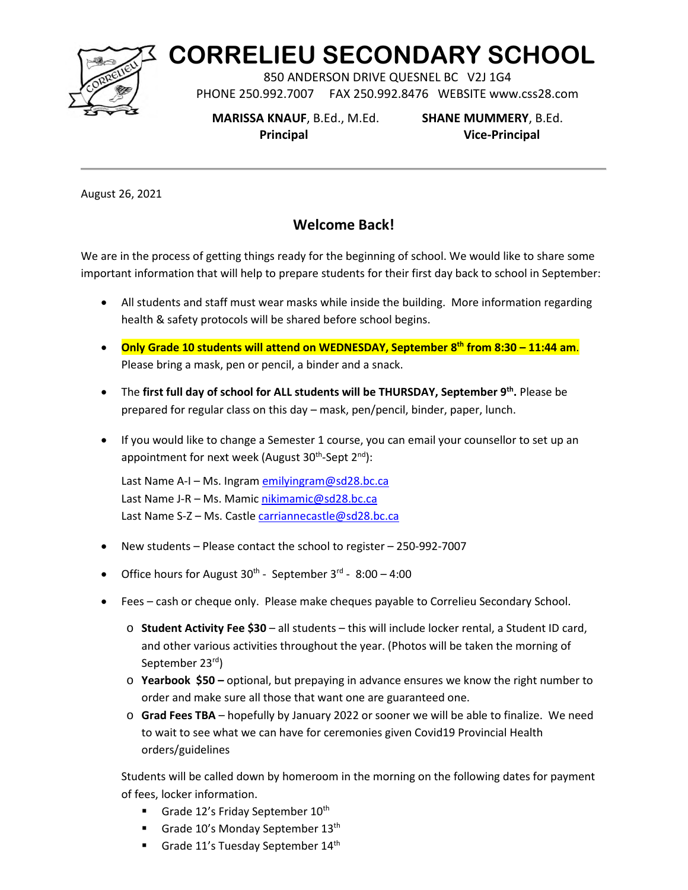

## **CORRELIEU SECONDARY SCHOOL**

850 ANDERSON DRIVE QUESNEL BC V2J 1G4 PHONE 250.992.7007 FAX 250.992.8476 WEBSITE www.css28.com

 **MARISSA KNAUF**, B.Ed., M.Ed. **SHANE MUMMERY**, B.Ed.

 **Principal Vice-Principal**

August 26, 2021

## **Welcome Back!**

We are in the process of getting things ready for the beginning of school. We would like to share some important information that will help to prepare students for their first day back to school in September:

- All students and staff must wear masks while inside the building. More information regarding health & safety protocols will be shared before school begins.
- **Only Grade 10 students will attend on WEDNESDAY, September 8th from 8:30 11:44 am**. Please bring a mask, pen or pencil, a binder and a snack.
- The first full day of school for ALL students will be THURSDAY, September 9<sup>th</sup>. Please be prepared for regular class on this day – mask, pen/pencil, binder, paper, lunch.
- If you would like to change a Semester 1 course, you can email your counsellor to set up an appointment for next week (August 30<sup>th</sup>-Sept 2<sup>nd</sup>):

Last Name A-I - Ms. Ingra[m emilyingram@sd28.bc.ca](mailto:emilyingram@sd28.bc.ca) Last Name J-R – Ms. Mamic [nikimamic@sd28.bc.ca](mailto:nikimamic@sd28.bc.ca) Last Name S-Z - Ms. Castle [carriannecastle@sd28.bc.ca](mailto:carriannecastle@sd28.bc.ca)

- New students Please contact the school to register 250-992-7007
- Office hours for August  $30^{th}$  September  $3^{rd}$   $8:00 4:00$
- Fees cash or cheque only. Please make cheques payable to Correlieu Secondary School.
	- o **Student Activity Fee \$30** all students this will include locker rental, a Student ID card, and other various activities throughout the year. (Photos will be taken the morning of September 23rd)
	- o **Yearbook \$50** optional, but prepaying in advance ensures we know the right number to order and make sure all those that want one are guaranteed one.
	- o **Grad Fees TBA** hopefully by January 2022 or sooner we will be able to finalize. We need to wait to see what we can have for ceremonies given Covid19 Provincial Health orders/guidelines

Students will be called down by homeroom in the morning on the following dates for payment of fees, locker information.

- Grade 12's Friday September  $10^{th}$
- Grade  $10'$ s Monday September  $13<sup>th</sup>$
- Grade 11's Tuesday September 14<sup>th</sup>